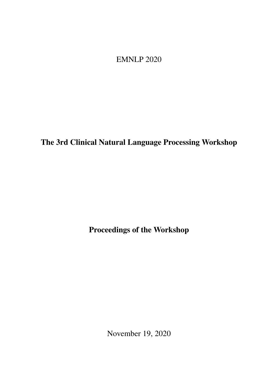<span id="page-0-0"></span>EMNLP 2020

The 3rd Clinical Natural Language Processing Workshop

Proceedings of the Workshop

November 19, 2020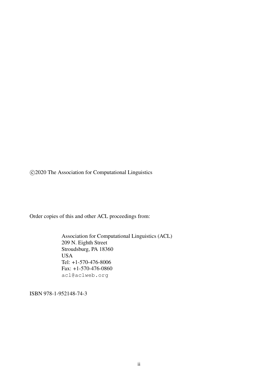c 2020 The Association for Computational Linguistics

Order copies of this and other ACL proceedings from:

Association for Computational Linguistics (ACL) 209 N. Eighth Street Stroudsburg, PA 18360 USA Tel: +1-570-476-8006 Fax: +1-570-476-0860 acl@aclweb.org

ISBN 978-1-952148-74-3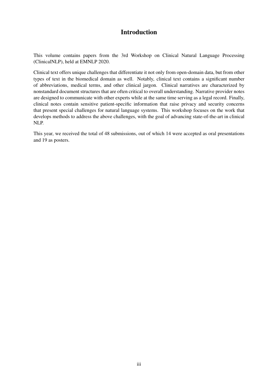# Introduction

This volume contains papers from the 3rd Workshop on Clinical Natural Language Processing (ClinicalNLP), held at EMNLP 2020.

Clinical text offers unique challenges that differentiate it not only from open-domain data, but from other types of text in the biomedical domain as well. Notably, clinical text contains a significant number of abbreviations, medical terms, and other clinical jargon. Clinical narratives are characterized by nonstandard document structures that are often critical to overall understanding. Narrative provider notes are designed to communicate with other experts while at the same time serving as a legal record. Finally, clinical notes contain sensitive patient-specific information that raise privacy and security concerns that present special challenges for natural language systems. This workshop focuses on the work that develops methods to address the above challenges, with the goal of advancing state-of-the-art in clinical NLP.

This year, we received the total of 48 submissions, out of which 14 were accepted as oral presentations and 19 as posters.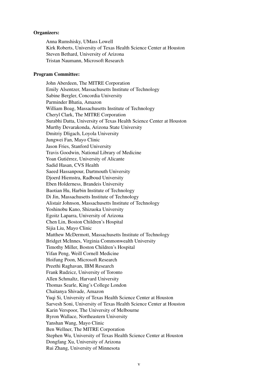#### Organizers:

Anna Rumshisky, UMass Lowell Kirk Roberts, University of Texas Health Science Center at Houston Steven Bethard, University of Arizona Tristan Naumann, Microsoft Research

#### Program Committee:

John Aberdeen, The MITRE Corporation Emily Alsentzer, Massachusetts Institute of Technology Sabine Bergler, Concordia University Parminder Bhatia, Amazon William Boag, Massachusetts Institute of Technology Cheryl Clark, The MITRE Corporation Surabhi Datta, University of Texas Health Science Center at Houston Murthy Devarakonda, Arizona State University Dmitriy Dligach, Loyola University Jungwei Fan, Mayo Clinic Jason Fries, Stanford University Travis Goodwin, National Library of Medicine Yoan Gutiérrez, University of Alicante Sadid Hasan, CVS Health Saeed Hassanpour, Dartmouth University Djoerd Hiemstra, Radboud University Eben Holderness, Brandeis University Baotian Hu, Harbin Institute of Technology Di Jin, Massachusetts Institute of Technology Alistair Johnson, Massachusetts Institute of Technology Yoshinobu Kano, Shizuoka University Egoitz Laparra, University of Arizona Chen Lin, Boston Children's Hospital Sijia Liu, Mayo Clinic Matthew McDermott, Massachusetts Institute of Technology Bridget McInnes, Virginia Commonwealth University Timothy Miller, Boston Children's Hospital Yifan Peng, Weill Cornell Medicine Hoifung Poon, Microsoft Research Preethi Raghavan, IBM Research Frank Rudzicz, University of Toronto Allen Schmaltz, Harvard University Thomas Searle, King's College London Chaitanya Shivade, Amazon Yuqi Si, University of Texas Health Science Center at Houston Sarvesh Soni, University of Texas Health Science Center at Houston Karin Verspoor, The University of Melbourne Byron Wallace, Northeastern University Yanshan Wang, Mayo Clinic Ben Wellner, The MITRE Corporation Stephen Wu, University of Texas Health Science Center at Houston Dongfang Xu, University of Arizona Rui Zhang, University of Minnesota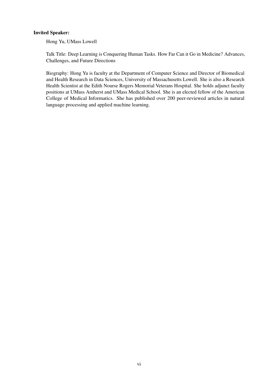# Invited Speaker:

Hong Yu, UMass Lowell

Talk Title: Deep Learning is Conquering Human Tasks. How Far Can it Go in Medicine? Advances, Challenges, and Future Directions

Biography: Hong Yu is faculty at the Department of Computer Science and Director of Biomedical and Health Research in Data Sciences, University of Massachusetts Lowell. She is also a Research Health Scientist at the Edith Nourse Rogers Memorial Veterans Hospital. She holds adjunct faculty positions at UMass Amherst and UMass Medical School. She is an elected fellow of the American College of Medical Informatics. She has published over 200 peer-reviewed articles in natural language processing and applied machine learning.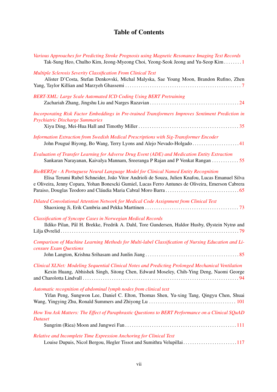# Table of Contents

| Various Approaches for Predicting Stroke Prognosis using Magnetic Resonance Imaging Text Records<br>Tak-Sung Heo, Chulho Kim, Jeong-Myeong Choi, Yeong-Seok Jeong and Yu-Seop Kim                                                                                                           |
|---------------------------------------------------------------------------------------------------------------------------------------------------------------------------------------------------------------------------------------------------------------------------------------------|
| <b>Multiple Sclerosis Severity Classification From Clinical Text</b><br>Alister D'Costa, Stefan Denkovski, Michal Malyska, Sae Young Moon, Brandon Rufino, Zhen                                                                                                                             |
| <b>BERT-XML: Large Scale Automated ICD Coding Using BERT Pretraining</b>                                                                                                                                                                                                                    |
| Incorporating Risk Factor Embeddings in Pre-trained Transformers Improves Sentiment Prediction in<br><b>Psychiatric Discharge Summaries</b>                                                                                                                                                 |
| Information Extraction from Swedish Medical Prescriptions with Sig-Transformer Encoder<br>John Pougué Biyong, Bo Wang, Terry Lyons and Alejo Nevado-Holgado41                                                                                                                               |
| Evaluation of Transfer Learning for Adverse Drug Event (ADE) and Medication Entity Extraction<br>Sankaran Narayanan, Kaivalya Mannam, Sreeranga P Rajan and P Venkat Rangan 55                                                                                                              |
| BioBERTpt - A Portuguese Neural Language Model for Clinical Named Entity Recognition<br>Elisa Terumi Rubel Schneider, João Vitor Andrioli de Souza, Julien Knafou, Lucas Emanuel Silva<br>e Oliveira, Jenny Copara, Yohan Bonescki Gumiel, Lucas Ferro Antunes de Oliveira, Emerson Cabrera |
| Dilated Convolutional Attention Network for Medical Code Assignment from Clinical Text                                                                                                                                                                                                      |
| <b>Classification of Syncope Cases in Norwegian Medical Records</b><br>Ildiko Pilan, Pål H. Brekke, Fredrik A. Dahl, Tore Gundersen, Haldor Husby, Øystein Nytrø and                                                                                                                        |
| Comparison of Machine Learning Methods for Multi-label Classification of Nursing Education and Li-<br>censure Exam Questions                                                                                                                                                                |
|                                                                                                                                                                                                                                                                                             |
| Clinical XLNet: Modeling Sequential Clinical Notes and Predicting Prolonged Mechanical Ventilation<br>Kexin Huang, Abhishek Singh, Sitong Chen, Edward Moseley, Chih-Ying Deng, Naomi George                                                                                                |
| Automatic recognition of abdominal lymph nodes from clinical text<br>Yifan Peng, Sungwon Lee, Daniel C. Elton, Thomas Shen, Yu-xing Tang, Qingyu Chen, Shuai                                                                                                                                |
|                                                                                                                                                                                                                                                                                             |
| How You Ask Matters: The Effect of Paraphrastic Questions to BERT Performance on a Clinical SQuAD<br><b>Dataset</b>                                                                                                                                                                         |
| Relative and Incomplete Time Expression Anchoring for Clinical Text                                                                                                                                                                                                                         |
| Louise Dupuis, Nicol Bergou, Hegler Tissot and Sumithra Velupillai117                                                                                                                                                                                                                       |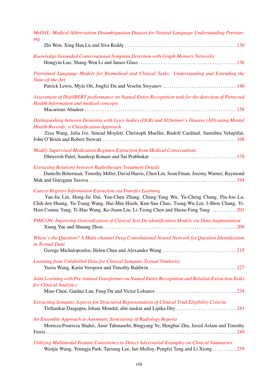| MeDAL: Medical Abbreviation Disambiguation Dataset for Natural Language Understanding Pretrain-<br>ing                                                                                                                                                                                                                                           |
|--------------------------------------------------------------------------------------------------------------------------------------------------------------------------------------------------------------------------------------------------------------------------------------------------------------------------------------------------|
| Knowledge Grounded Conversational Symptom Detection with Graph Memory Networks                                                                                                                                                                                                                                                                   |
| Pretrained Language Models for Biomedical and Clinical Tasks: Understanding and Extending the<br>State-of-the-Art                                                                                                                                                                                                                                |
| Assessment of DistilBERT performance on Named Entity Recognition task for the detection of Protected<br><b>Health Information and medical concepts</b>                                                                                                                                                                                           |
| Distinguishing between Dementia with Lewy bodies (DLB) and Alzheimer's Disease (AD) using Mental<br><b>Health Records: a Classification Approach</b><br>Zixu Wang, Julia Ive, Sinead Moylett, Christoph Mueller, Rudolf Cardinal, Sumithra Velupillai,                                                                                           |
| Weakly Supervised Medication Regimen Extraction from Medical Conversations                                                                                                                                                                                                                                                                       |
| <b>Extracting Relations between Radiotherapy Treatment Details</b><br>Danielle Bitterman, Timothy Miller, David Harris, Chen Lin, Sean Finan, Jeremy Warner, Raymond                                                                                                                                                                             |
| <b>Cancer Registry Information Extraction via Transfer Learning</b><br>Yan-Jie Lin, Hong-Jie Dai, You-Chen Zhang, Chung-Yang Wu, Yu-Cheng Chang, Pin-Jou Lu,<br>Chih-Jen Huang, Yu-Tsang Wang, Hui-Min Hsieh, Kun-San Chao, Tsang-Wu Liu, I-Shou Chang, Yi-<br>Hsin Connie Yang, Ti-Hao Wang, Ko-Jiunn Liu, Li-Tzong Chen and Sheau-Fang Yang201 |
| PHICON: Improving Generalization of Clinical Text De-identification Models via Data Augmentation                                                                                                                                                                                                                                                 |
| Where's the Question? A Multi-channel Deep Convolutional Neural Network for Question Identification<br>in Textual Data                                                                                                                                                                                                                           |
| Learning from Unlabelled Data for Clinical Semantic Textual Similarity                                                                                                                                                                                                                                                                           |
| Joint Learning with Pre-trained Transformer on Named Entity Recognition and Relation Extraction Tasks<br>for Clinical Analytics                                                                                                                                                                                                                  |
| Extracting Semantic Aspects for Structured Representation of Clinical Trial Eligibility Criteria                                                                                                                                                                                                                                                 |
| An Ensemble Approach to Automatic Structuring of Radiology Reports<br>Morteza Pourreza Shahri, Amir Tahmasebi, Bingyang Ye, Henghui Zhu, Javed Aslam and Timothy                                                                                                                                                                                 |
| Utilizing Multimodal Feature Consistency to Detect Adversarial Examples on Clinical Summaries                                                                                                                                                                                                                                                    |

Wenjie Wang, Youngja Park, Taesung Lee, Ian Molloy, Pengfei Tang and Li Xiong . . . . . . . . . . . [259](#page-0-0)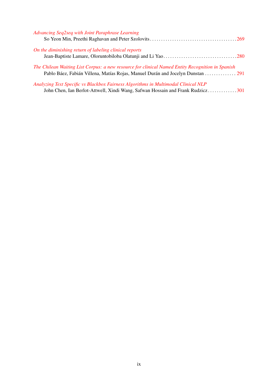| Advancing Seq2seq with Joint Paraphrase Learning                                                                                                                     |  |
|----------------------------------------------------------------------------------------------------------------------------------------------------------------------|--|
| On the diminishing return of labeling clinical reports                                                                                                               |  |
| The Chilean Waiting List Corpus: a new resource for clinical Named Entity Recognition in Spanish                                                                     |  |
| Analyzing Text Specific vs Blackbox Fairness Algorithms in Multimodal Clinical NLP<br>John Chen, Ian Berlot-Attwell, Xindi Wang, Safwan Hossain and Frank Rudzicz301 |  |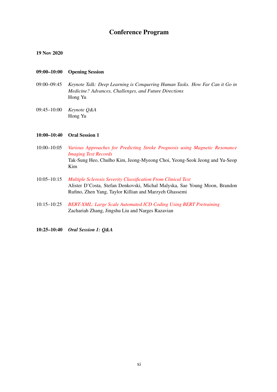# Conference Program

# 19 Nov 2020

# 09:00–10:00 Opening Session

- 09:00–09:45 *Keynote Talk: Deep Learning is Conquering Human Tasks. How Far Can it Go in Medicine? Advances, Challenges, and Future Directions* Hong Yu
- 09:45–10:00 *Keynote Q&A* Hong Yu

# 10:00–10:40 Oral Session 1

- 10:00–10:05 *[Various Approaches for Predicting Stroke Prognosis using Magnetic Resonance](#page-0-0) [Imaging Text Records](#page-0-0)* Tak-Sung Heo, Chulho Kim, Jeong-Myeong Choi, Yeong-Seok Jeong and Yu-Seop Kim
- 10:05–10:15 *[Multiple Sclerosis Severity Classification From Clinical Text](#page-0-0)* Alister D'Costa, Stefan Denkovski, Michal Malyska, Sae Young Moon, Brandon Rufino, Zhen Yang, Taylor Killian and Marzyeh Ghassemi
- 10:15–10:25 *[BERT-XML: Large Scale Automated ICD Coding Using BERT Pretraining](#page-0-0)* Zachariah Zhang, Jingshu Liu and Narges Razavian
- 10:25–10:40 *Oral Session 1: Q&A*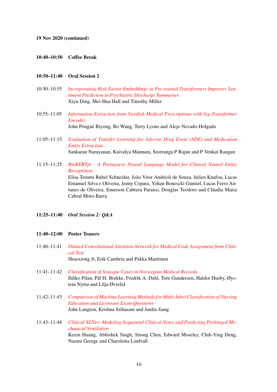#### 10:40–10:50 Coffee Break

# 10:50–11:40 Oral Session 2

- 10:50–10:55 *[Incorporating Risk Factor Embeddings in Pre-trained Transformers Improves Sen](#page-0-0)[timent Prediction in Psychiatric Discharge Summaries](#page-0-0)* Xiyu Ding, Mei-Hua Hall and Timothy Miller
- 10:55–11:05 *[Information Extraction from Swedish Medical Prescriptions with Sig-Transformer](#page-0-0) [Encoder](#page-0-0)* John Pougué Biyong, Bo Wang, Terry Lyons and Alejo Nevado-Holgado
- 11:05–11:15 *[Evaluation of Transfer Learning for Adverse Drug Event \(ADE\) and Medication](#page-0-0) [Entity Extraction](#page-0-0)* Sankaran Narayanan, Kaivalya Mannam, Sreeranga P Rajan and P Venkat Rangan
- 11:15–11:25 *[BioBERTpt A Portuguese Neural Language Model for Clinical Named Entity](#page-0-0) [Recognition](#page-0-0)* Elisa Terumi Rubel Schneider, João Vitor Andrioli de Souza, Julien Knafou, Lucas Emanuel Silva e Oliveira, Jenny Copara, Yohan Bonescki Gumiel, Lucas Ferro Antunes de Oliveira, Emerson Cabrera Paraiso, Douglas Teodoro and Cláudia Maria Cabral Moro Barra
- 11:25–11:40 *Oral Session 2: Q&A*

#### 11:40–12:00 Poster Teasers

- 11:40–11:41 *[Dilated Convolutional Attention Network for Medical Code Assignment from Clini](#page-0-0)[cal Text](#page-0-0)* Shaoxiong Ji, Erik Cambria and Pekka Marttinen
- 11:41–11:42 *[Classification of Syncope Cases in Norwegian Medical Records](#page-0-0)* Ildiko Pilan, Pål H. Brekke, Fredrik A. Dahl, Tore Gundersen, Haldor Husby, Øystein Nytrø and Lilja Øvrelid
- 11:42–11:43 *[Comparison of Machine Learning Methods for Multi-label Classification of Nursing](#page-0-0) [Education and Licensure Exam Questions](#page-0-0)* John Langton, Krishna Srihasam and Junlin Jiang
- 11:43–11:44 *[Clinical XLNet: Modeling Sequential Clinical Notes and Predicting Prolonged Me](#page-0-0)[chanical Ventilation](#page-0-0)* Kexin Huang, Abhishek Singh, Sitong Chen, Edward Moseley, Chih-Ying Deng, Naomi George and Charolotta Lindvall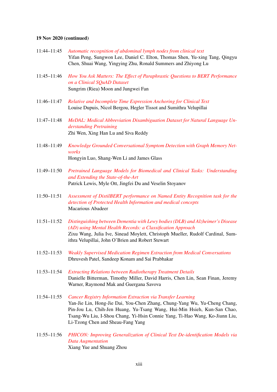- 11:44–11:45 *[Automatic recognition of abdominal lymph nodes from clinical text](#page-0-0)* Yifan Peng, Sungwon Lee, Daniel C. Elton, Thomas Shen, Yu-xing Tang, Qingyu Chen, Shuai Wang, Yingying Zhu, Ronald Summers and Zhiyong Lu
- 11:45–11:46 *[How You Ask Matters: The Effect of Paraphrastic Questions to BERT Performance](#page-0-0) [on a Clinical SQuAD Dataset](#page-0-0)* Sungrim (Riea) Moon and Jungwei Fan
- 11:46–11:47 *[Relative and Incomplete Time Expression Anchoring for Clinical Text](#page-0-0)* Louise Dupuis, Nicol Bergou, Hegler Tissot and Sumithra Velupillai
- 11:47–11:48 *[MeDAL: Medical Abbreviation Disambiguation Dataset for Natural Language Un](#page-0-0)[derstanding Pretraining](#page-0-0)* Zhi Wen, Xing Han Lu and Siva Reddy
- 11:48–11:49 *[Knowledge Grounded Conversational Symptom Detection with Graph Memory Net](#page-0-0)[works](#page-0-0)* Hongyin Luo, Shang-Wen Li and James Glass
- 11:49–11:50 *[Pretrained Language Models for Biomedical and Clinical Tasks: Understanding](#page-0-0) [and Extending the State-of-the-Art](#page-0-0)* Patrick Lewis, Myle Ott, Jingfei Du and Veselin Stoyanov
- 11:50–11:51 *[Assessment of DistilBERT performance on Named Entity Recognition task for the](#page-0-0) [detection of Protected Health Information and medical concepts](#page-0-0)* Macarious Abadeer
- 11:51–11:52 *[Distinguishing between Dementia with Lewy bodies \(DLB\) and Alzheimer's Disease](#page-0-0) [\(AD\) using Mental Health Records: a Classification Approach](#page-0-0)* Zixu Wang, Julia Ive, Sinead Moylett, Christoph Mueller, Rudolf Cardinal, Sumithra Velupillai, John O'Brien and Robert Stewart
- 11:52–11:53 *[Weakly Supervised Medication Regimen Extraction from Medical Conversations](#page-0-0)* Dhruvesh Patel, Sandeep Konam and Sai Prabhakar
- 11:53–11:54 *[Extracting Relations between Radiotherapy Treatment Details](#page-0-0)* Danielle Bitterman, Timothy Miller, David Harris, Chen Lin, Sean Finan, Jeremy Warner, Raymond Mak and Guergana Savova
- 11:54–11:55 *[Cancer Registry Information Extraction via Transfer Learning](#page-0-0)* Yan-Jie Lin, Hong-Jie Dai, You-Chen Zhang, Chung-Yang Wu, Yu-Cheng Chang, Pin-Jou Lu, Chih-Jen Huang, Yu-Tsang Wang, Hui-Min Hsieh, Kun-San Chao, Tsang-Wu Liu, I-Shou Chang, Yi-Hsin Connie Yang, Ti-Hao Wang, Ko-Jiunn Liu, Li-Tzong Chen and Sheau-Fang Yang
- 11:55–11:56 *[PHICON: Improving Generalization of Clinical Text De-identification Models via](#page-0-0) [Data Augmentation](#page-0-0)* Xiang Yue and Shuang Zhou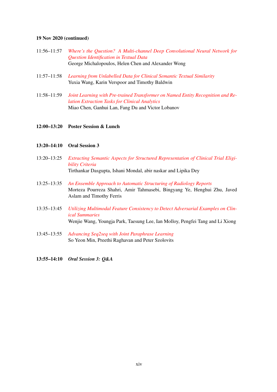| $11:56 - 11:57$ | Where's the Question? A Multi-channel Deep Convolutional Neural Network for |
|-----------------|-----------------------------------------------------------------------------|
|                 | Question Identification in Textual Data                                     |
|                 | George Michalopoulos, Helen Chen and Alexander Wong                         |

- 11:57–11:58 *[Learning from Unlabelled Data for Clinical Semantic Textual Similarity](#page-0-0)* Yuxia Wang, Karin Verspoor and Timothy Baldwin
- 11:58–11:59 *[Joint Learning with Pre-trained Transformer on Named Entity Recognition and Re](#page-0-0)[lation Extraction Tasks for Clinical Analytics](#page-0-0)* Miao Chen, Ganhui Lan, Fang Du and Victor Lobanov
- 12:00–13:20 Poster Session & Lunch

# 13:20–14:10 Oral Session 3

- 13:20–13:25 *[Extracting Semantic Aspects for Structured Representation of Clinical Trial Eligi](#page-0-0)[bility Criteria](#page-0-0)* Tirthankar Dasgupta, Ishani Mondal, abir naskar and Lipika Dey
- 13:25–13:35 *[An Ensemble Approach to Automatic Structuring of Radiology Reports](#page-0-0)* Morteza Pourreza Shahri, Amir Tahmasebi, Bingyang Ye, Henghui Zhu, Javed Aslam and Timothy Ferris
- 13:35–13:45 *[Utilizing Multimodal Feature Consistency to Detect Adversarial Examples on Clin](#page-0-0)[ical Summaries](#page-0-0)* Wenjie Wang, Youngja Park, Taesung Lee, Ian Molloy, Pengfei Tang and Li Xiong
- 13:45–13:55 *[Advancing Seq2seq with Joint Paraphrase Learning](#page-0-0)* So Yeon Min, Preethi Raghavan and Peter Szolovits
- 13:55–14:10 *Oral Session 3: Q&A*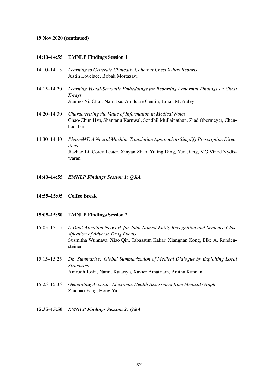#### 14:10–14:55 EMNLP Findings Session 1

- 14:10–14:15 *Learning to Generate Clinically Coherent Chest X-Ray Reports* Justin Lovelace, Bobak Mortazavi
- 14:15–14:20 *Learning Visual-Semantic Embeddings for Reporting Abnormal Findings on Chest X-rays*

Jianmo Ni, Chun-Nan Hsu, Amilcare Gentili, Julian McAuley

- 14:20–14:30 *Characterizing the Value of Information in Medical Notes* Chao-Chun Hsu, Shantanu Karnwal, Sendhil Mullainathan, Ziad Obermeyer, Chenhao Tan
- 14:30–14:40 *PharmMT: A Neural Machine Translation Approach to Simplify Prescription Directions* Jiazhao Li, Corey Lester, Xinyan Zhao, Yuting Ding, Yun Jiang, V.G.Vinod Vydiswaran
- 14:40–14:55 *EMNLP Findings Session 1: Q&A*
- 14:55–15:05 Coffee Break

#### 15:05–15:50 EMNLP Findings Session 2

- 15:05–15:15 *A Dual-Attention Network for Joint Named Entity Recognition and Sentence Classification of Adverse Drug Events* Susmitha Wunnava, Xiao Qin, Tabassum Kakar, Xiangnan Kong, Elke A. Rundensteiner
- 15:15–15:25 *Dr. Summarize: Global Summarization of Medical Dialogue by Exploiting Local Structures* Anirudh Joshi, Namit Katariya, Xavier Amatriain, Anitha Kannan
- 15:25–15:35 *Generating Accurate Electronic Health Assessment from Medical Graph* Zhichao Yang, Hong Yu

#### 15:35–15:50 *EMNLP Findings Session 2: Q&A*